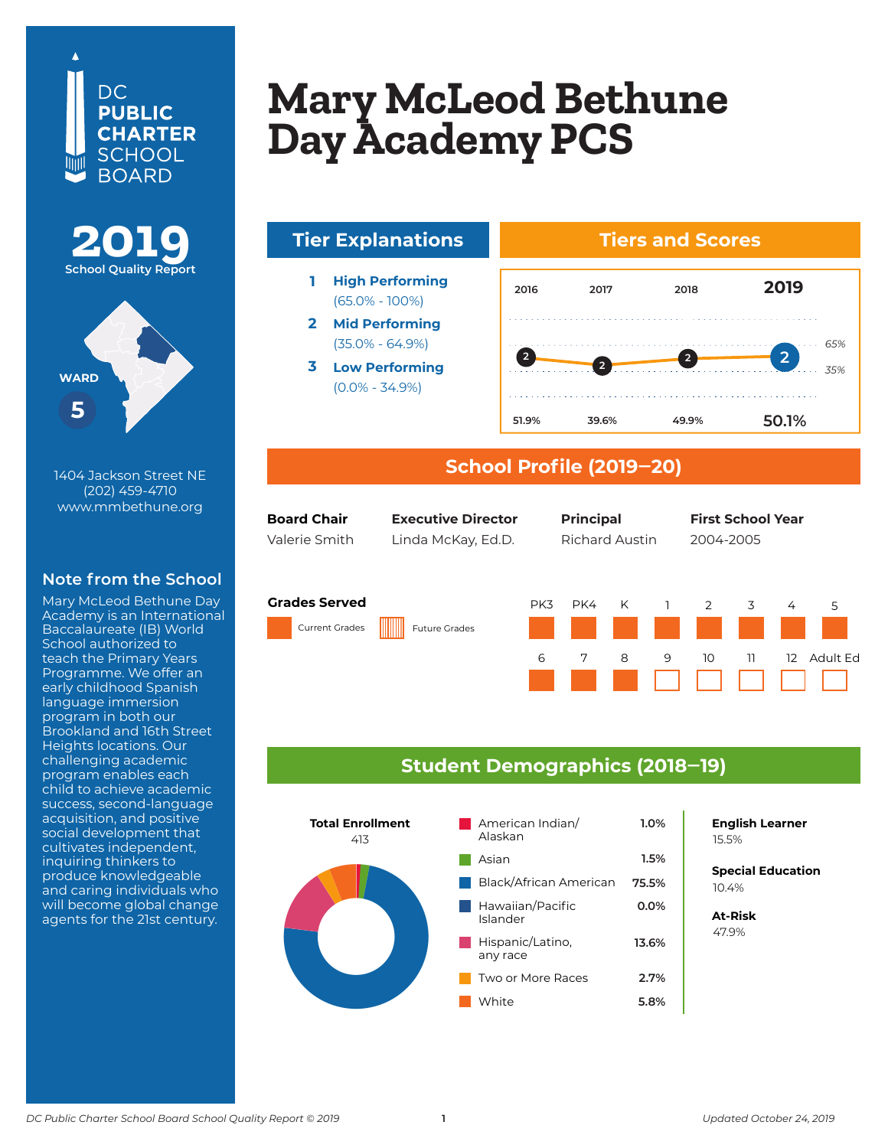





1404 Jackson Street NE (202) 459-4710 www.mmbethune.org

## **Note from the School**

Mary McLeod Bethune Day Academy is an International Baccalaureate (IB) World School authorized to teach the Primary Years Programme. We offer an early childhood Spanish language immersion program in both our Brookland and 16th Street Heights locations. Our challenging academic program enables each child to achieve academic success, second-language acquisition, and positive social development that cultivates independent, inquiring thinkers to produce knowledgeable and caring individuals who will become global change agents for the 21st century.

## **Mony MeToped Rot Mary McLeod Be<br>Deu Acodemy PC** Lay *Liouvelle* 1 **Mary McLeod Bethune Day Academy PCS**







### **School Profile (2019‒20)**

| <b>Board Chair</b> |  |
|--------------------|--|
| Valerie Smith      |  |

Valerie Smith Linda McKay, Ed.D. Richard Austin 2004-2005

**Board Chair Chief of Schools Principal First School Year Executive Director Principal First School Year**

#### **Grades Served**

Current Grades Future Grades





### **Student Demographics (2018‒19)**



**English Learner**

**Special Education** 6.2% 10.4%

**At-Risk** 37.0% 47.9%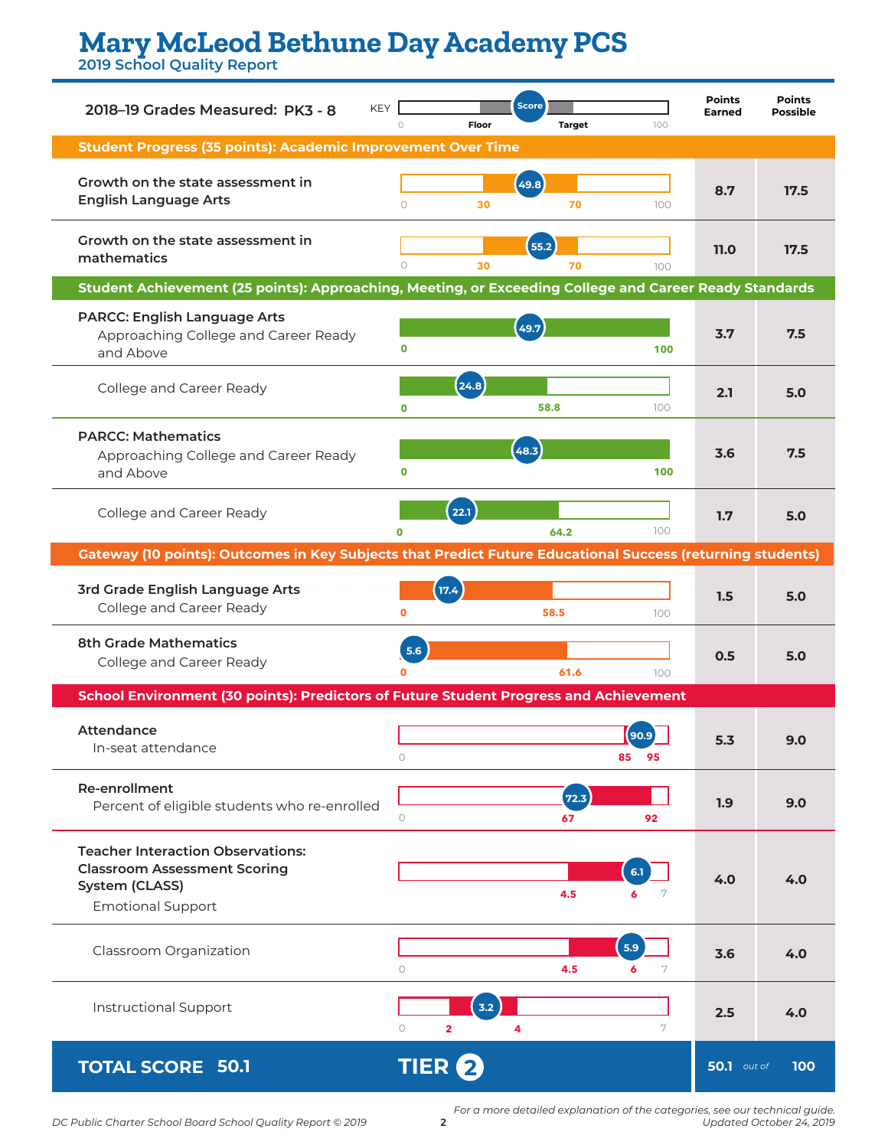# **Mary McLeod Bethune Day Academy PCS**

**2019 School Quality Report**

| <b>KEY</b><br>2018-19 Grades Measured: PK3 - 8                                                                                | $\circ$<br>Floor                 | <b>Score</b><br><b>Target</b> | 100           | <b>Points</b><br><b>Earned</b> | <b>Points</b><br><b>Possible</b> |
|-------------------------------------------------------------------------------------------------------------------------------|----------------------------------|-------------------------------|---------------|--------------------------------|----------------------------------|
| <b>Student Progress (35 points): Academic Improvement Over Time</b>                                                           |                                  |                               |               |                                |                                  |
| Growth on the state assessment in<br><b>English Language Arts</b>                                                             | $\circ$<br>30                    | (49.8)<br>70                  | 100           | 8.7                            | 17.5                             |
| Growth on the state assessment in<br>mathematics                                                                              | $\circ$<br>30                    | 55.2<br>70                    | 100           | 11.0                           | 17.5                             |
| Student Achievement (25 points): Approaching, Meeting, or Exceeding College and Career Ready Standards                        |                                  |                               |               |                                |                                  |
| <b>PARCC: English Language Arts</b><br>Approaching College and Career Ready<br>and Above                                      | 0                                | 49.7                          | 100           | 3.7                            | 7.5                              |
| College and Career Ready                                                                                                      | (24.8)<br>$\mathbf 0$            | 58.8                          | 100           | 2.1                            | 5.0                              |
| <b>PARCC: Mathematics</b><br>Approaching College and Career Ready<br>and Above                                                | 0                                | 48.3                          | 100           | 3.6                            | 7.5                              |
| College and Career Ready                                                                                                      | (22.1)                           | 64.2                          | 100           | 1.7                            | 5.0                              |
| <b>Gateway (10 points): Outcomes in Key Subjects that Predict Future Educational Success (returning students)</b>             |                                  |                               |               |                                |                                  |
| 3rd Grade English Language Arts<br>College and Career Ready                                                                   | 17.4<br>$\mathbf{0}$             | 58.5                          | 100           | 1.5                            | 5.0                              |
| <b>8th Grade Mathematics</b><br>College and Career Ready                                                                      | 5.6                              | 61.6                          | 100           | 0.5                            | 5.0                              |
| School Environment (30 points): Predictors of Future Student Progress and Achievement                                         |                                  |                               |               |                                |                                  |
| Attendance<br>In-seat attendance                                                                                              | $\circ$                          |                               | 95<br>85      | 5.3                            | 9.0                              |
| Re-enrollment<br>Percent of eligible students who re-enrolled                                                                 | $\circ$                          | 72.3<br>67                    | 92            | 1.9                            | 9.0                              |
| <b>Teacher Interaction Observations:</b><br><b>Classroom Assessment Scoring</b><br>System (CLASS)<br><b>Emotional Support</b> |                                  | 4.5                           | 6.1<br>6      | 4.0                            | 4.0                              |
| Classroom Organization                                                                                                        | $\circ$                          | 4.5                           | 5.9<br>6<br>7 | 3.6                            | 4.0                              |
| Instructional Support                                                                                                         | 3.2<br>$\circ$<br>$\overline{2}$ | 4                             | 7             | 2.5                            | 4.0                              |
| <b>TOTAL SCORE 50.1</b>                                                                                                       | TIER <sup>2</sup>                |                               |               | <b>50.1</b> out of             | 100                              |